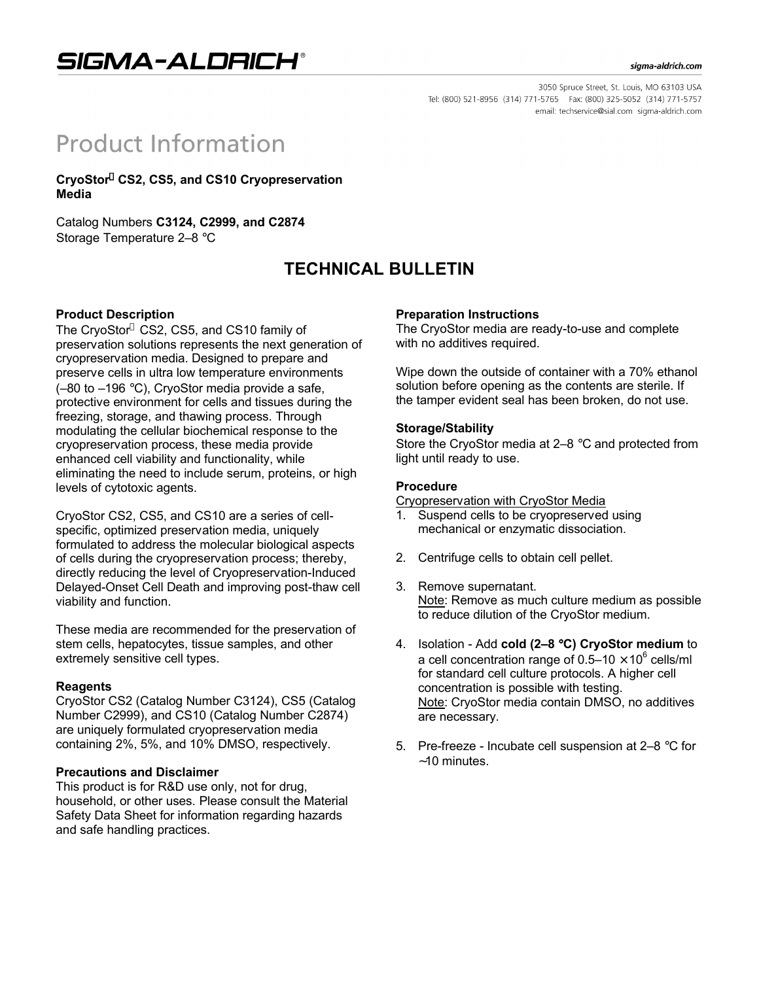## SIGMA-ALDRICH®

#### sigma-aldrich.com

3050 Spruce Street, St. Louis, MO 63103 USA Tel: (800) 521-8956 (314) 771-5765 Fax: (800) 325-5052 (314) 771-5757 email: techservice@sial.com sigma-aldrich.com

# **Product Information**

**CryoStor CS2, CS5, and CS10 Cryopreservation Media**

Catalog Numbers **C3124, C2999, and C2874** Storage Temperature 2–8 °C

## **TECHNICAL BULLETIN**

### **Product Description**

The CryoStor® CS2, CS5, and CS10 family of preservation solutions represents the next generation of cryopreservation media. Designed to prepare and preserve cells in ultra low temperature environments (–80 to –196 °C), CryoStor media provide a safe, protective environment for cells and tissues during the freezing, storage, and thawing process. Through modulating the cellular biochemical response to the cryopreservation process, these media provide enhanced cell viability and functionality, while eliminating the need to include serum, proteins, or high levels of cytotoxic agents.

CryoStor CS2, CS5, and CS10 are a series of cellspecific, optimized preservation media, uniquely formulated to address the molecular biological aspects of cells during the cryopreservation process; thereby, directly reducing the level of Cryopreservation-Induced Delayed-Onset Cell Death and improving post-thaw cell viability and function.

These media are recommended for the preservation of stem cells, hepatocytes, tissue samples, and other extremely sensitive cell types.

#### **Reagents**

CryoStor CS2 (Catalog Number C3124), CS5 (Catalog Number C2999), and CS10 (Catalog Number C2874) are uniquely formulated cryopreservation media containing 2%, 5%, and 10% DMSO, respectively.

### **Precautions and Disclaimer**

This product is for R&D use only, not for drug, household, or other uses. Please consult the Material Safety Data Sheet for information regarding hazards and safe handling practices.

#### **Preparation Instructions**

The CryoStor media are ready-to-use and complete with no additives required.

Wipe down the outside of container with a 70% ethanol solution before opening as the contents are sterile. If the tamper evident seal has been broken, do not use.

#### **Storage/Stability**

Store the CryoStor media at 2–8 °C and protected from light until ready to use.

#### **Procedure**

Cryopreservation with CryoStor Media

- 1. Suspend cells to be cryopreserved using mechanical or enzymatic dissociation.
- 2. Centrifuge cells to obtain cell pellet.
- 3. Remove supernatant. Note: Remove as much culture medium as possible to reduce dilution of the CryoStor medium.
- 4. Isolation Add **cold (2–8** °**C) CryoStor medium** to a cell concentration range of 0.5–10  $\times$  10<sup>6</sup> cells/ml for standard cell culture protocols. A higher cell concentration is possible with testing. Note: CryoStor media contain DMSO, no additives are necessary.
- 5. Pre-freeze Incubate cell suspension at 2–8 °C for ∼10 minutes.